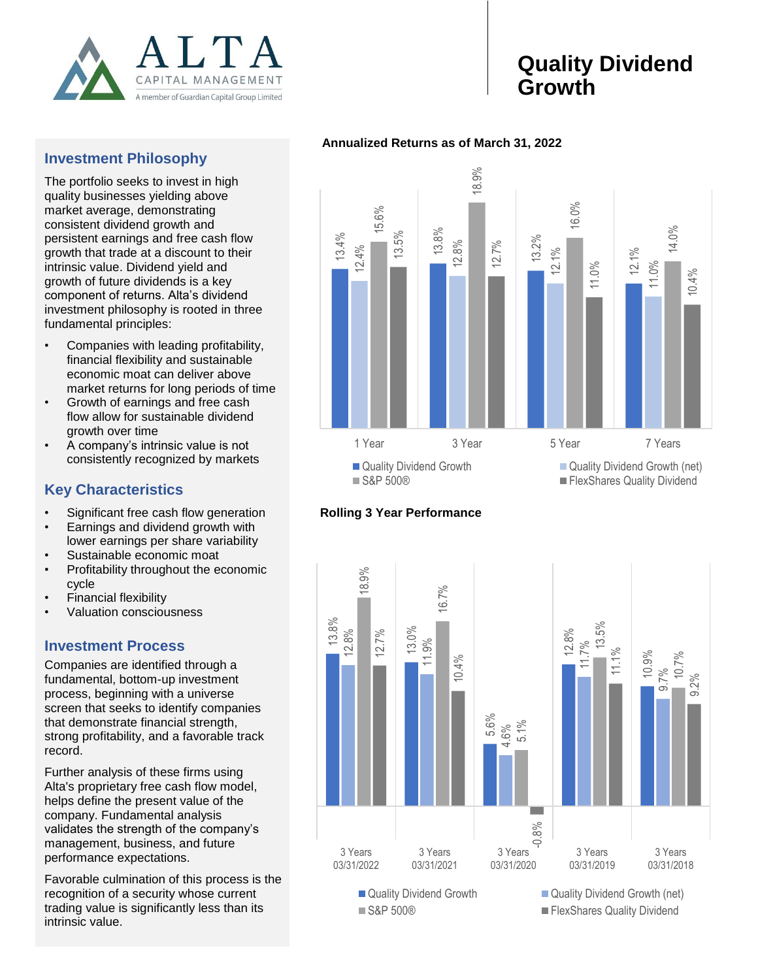

# **Quality Dividend Growth**

### **Investment Philosophy**

The portfolio seeks to invest in high quality businesses yielding above market average, demonstrating consistent dividend growth and persistent earnings and free cash flow growth that trade at a discount to their intrinsic value. Dividend yield and growth of future dividends is a key component of returns. Alta's dividend investment philosophy is rooted in three fundamental principles:

- Companies with leading profitability, financial flexibility and sustainable economic moat can deliver above market returns for long periods of time
- Growth of earnings and free cash flow allow for sustainable dividend growth over time
- A company's intrinsic value is not consistently recognized by markets

## **Key Characteristics**

- Significant free cash flow generation
- Earnings and dividend growth with lower earnings per share variability
- Sustainable economic moat
- Profitability throughout the economic cycle
- Financial flexibility
- Valuation consciousness

## **Investment Process**

Companies are identified through a fundamental, bottom-up investment process, beginning with a universe screen that seeks to identify companies that demonstrate financial strength, strong profitability, and a favorable track record.

Further analysis of these firms using Alta's proprietary free cash flow model, helps define the present value of the company. Fundamental analysis validates the strength of the company's management, business, and future performance expectations.

Favorable culmination of this process is the recognition of a security whose current trading value is significantly less than its intrinsic value.









<sup>■</sup> S&P 500® FlexShares Quality Dividend